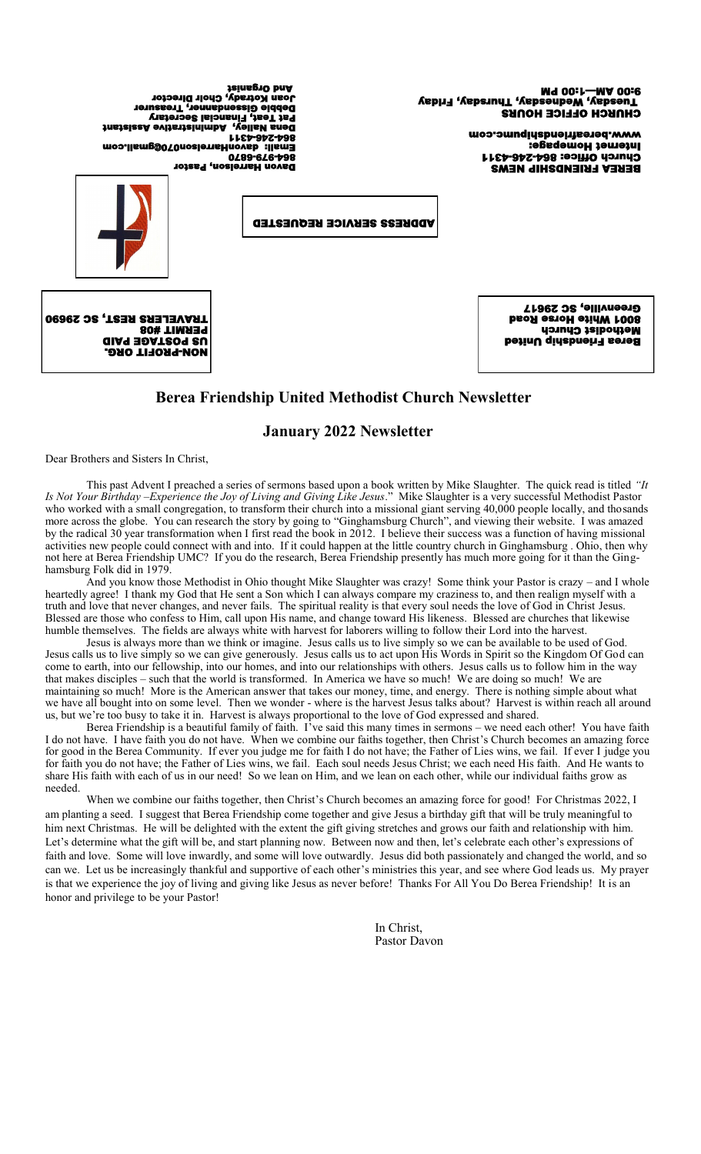CHURCH OFFICE HOURS 8:00 W—J 1:00 bW<br>Lneaqsa Megaupeay (Appangay - Appangay), Friday

> BEREA FRIENDSHIP NEWS Church Office: 864-2454311 Internet Homepage: www.bereafriendshipumc.com

 Davon Harrelson, Pastor 0289-6 Email: davonHarrelson070@gmail.com 1166-965-698 Dena Nalley, Administrative Assistant Pat Teat, Financial Secretary Debbie Gissendanner, Treasurer Kotrady, Choir Dir And Organist

ADDRESS SERVICE REQUESTED



 PROFIT ORG. - NON US POSTAGE PAID Berea Friendship United Methodist Church 8001 White Horse Road Greenville, SC 29617

# **Berea Friendship United Methodist Church Newsletter**

# **January 2022 Newsletter**

Dear Brothers and Sisters In Christ,

This past Advent I preached a series of sermons based upon a book written by Mike Slaughter. The quick read is titled *"It Is Not Your Birthday –Experience the Joy of Living and Giving Like Jesus*." Mike Slaughter is a very successful Methodist Pastor who worked with a small congregation, to transform their church into a missional giant serving 40,000 people locally, and thosands more across the globe. You can research the story by going to "Ginghamsburg Church", and viewing their website. I was amazed by the radical 30 year transformation when I first read the book in 2012. I believe their success was a function of having missional activities new people could connect with and into. If it could happen at the little country church in Ginghamsburg . Ohio, then why not here at Berea Friendship UMC? If you do the research, Berea Friendship presently has much more going for it than the Ginghamsburg Folk did in 1979.

And you know those Methodist in Ohio thought Mike Slaughter was crazy! Some think your Pastor is crazy – and I whole heartedly agree! I thank my God that He sent a Son which I can always compare my craziness to, and then realign myself with a truth and love that never changes, and never fails. The spiritual reality is that every soul needs the love of God in Christ Jesus. Blessed are those who confess to Him, call upon His name, and change toward His likeness. Blessed are churches that likewise humble themselves. The fields are always white with harvest for laborers willing to follow their Lord into the harvest.

Jesus is always more than we think or imagine. Jesus calls us to live simply so we can be available to be used of God. Jesus calls us to live simply so we can give generously. Jesus calls us to act upon His Words in Spirit so the Kingdom Of God can come to earth, into our fellowship, into our homes, and into our relationships with others. Jesus calls us to follow him in the way that makes disciples – such that the world is transformed. In America we have so much! We are doing so much! We are maintaining so much! More is the American answer that takes our money, time, and energy. There is nothing simple about what we have all bought into on some level. Then we wonder - where is the harvest Jesus talks about? Harvest is within reach all around us, but we're too busy to take it in. Harvest is always proportional to the love of God expressed and shared.

Berea Friendship is a beautiful family of faith. I've said this many times in sermons – we need each other! You have faith I do not have. I have faith you do not have. When we combine our faiths together, then Christ's Church becomes an amazing force for good in the Berea Community. If ever you judge me for faith I do not have; the Father of Lies wins, we fail. If ever I judge you for faith you do not have; the Father of Lies wins, we fail. Each soul needs Jesus Christ; we each need His faith. And He wants to share His faith with each of us in our need! So we lean on Him, and we lean on each other, while our individual faiths grow as needed.

When we combine our faiths together, then Christ's Church becomes an amazing force for good! For Christmas 2022, I am planting a seed. I suggest that Berea Friendship come together and give Jesus a birthday gift that will be truly meaningful to him next Christmas. He will be delighted with the extent the gift giving stretches and grows our faith and relationship with him. Let's determine what the gift will be, and start planning now. Between now and then, let's celebrate each other's expressions of faith and love. Some will love inwardly, and some will love outwardly. Jesus did both passionately and changed the world, and so can we. Let us be increasingly thankful and supportive of each other's ministries this year, and see where God leads us. My prayer is that we experience the joy of living and giving like Jesus as never before! Thanks For All You Do Berea Friendship! It is an honor and privilege to be your Pastor!

> In Christ, Pastor Davon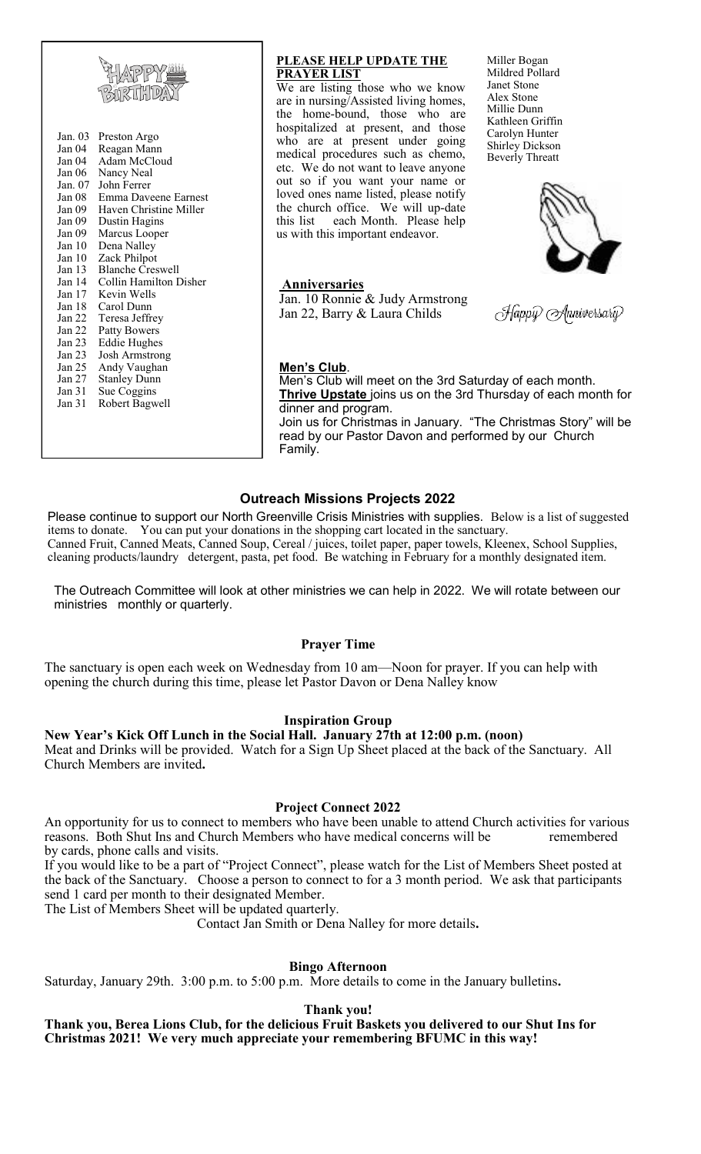

#### **PLEASE HELP UPDATE THE PRAYER LIST**

We are listing those who we know are in nursing/Assisted living homes, the home-bound, those who are hospitalized at present, and those who are at present under going medical procedures such as chemo, etc. We do not want to leave anyone out so if you want your name or loved ones name listed, please notify the church office. We will up-date this list each Month. Please help us with this important endeavor.

Miller Bogan Mildred Pollard Janet Stone Alex Stone Millie Dunn Kathleen Griffin Carolyn Hunter Shirley Dickson Beverly Threatt



**Anniversaries**

Jan. 10 Ronnie & Judy Armstrong Jan 22, Barry & Laura Childs

Happiv Anniversariv

#### **Men's Club**.

Family.

Men's Club will meet on the 3rd Saturday of each month. **Thrive Upstate** joins us on the 3rd Thursday of each month for dinner and program. Join us for Christmas in January. "The Christmas Story" will be read by our Pastor Davon and performed by our Church

**Outreach Missions Projects 2022**

Please continue to support our North Greenville Crisis Ministries with supplies. Below is a list of suggested items to donate. You can put your donations in the shopping cart located in the sanctuary. Canned Fruit, Canned Meats, Canned Soup, Cereal / juices, toilet paper, paper towels, Kleenex, School Supplies, cleaning products/laundry detergent, pasta, pet food. Be watching in February for a monthly designated item.

The Outreach Committee will look at other ministries we can help in 2022. We will rotate between our ministries monthly or quarterly.

# **Prayer Time**

The sanctuary is open each week on Wednesday from 10 am—Noon for prayer. If you can help with opening the church during this time, please let Pastor Davon or Dena Nalley know

# **Inspiration Group**

**New Year's Kick Off Lunch in the Social Hall. January 27th at 12:00 p.m. (noon)**  Meat and Drinks will be provided. Watch for a Sign Up Sheet placed at the back of the Sanctuary. All Church Members are invited**.** 

#### **Project Connect 2022**

An opportunity for us to connect to members who have been unable to attend Church activities for various reasons. Both Shut Ins and Church Members who have medical concerns will be remembered by cards, phone calls and visits.

If you would like to be a part of "Project Connect", please watch for the List of Members Sheet posted at the back of the Sanctuary. Choose a person to connect to for a 3 month period. We ask that participants send 1 card per month to their designated Member.

The List of Members Sheet will be updated quarterly.

Contact Jan Smith or Dena Nalley for more details**.**

### **Bingo Afternoon**

Saturday, January 29th. 3:00 p.m. to 5:00 p.m. More details to come in the January bulletins**.** 

**Thank you!** 

**Thank you, Berea Lions Club, for the delicious Fruit Baskets you delivered to our Shut Ins for Christmas 2021! We very much appreciate your remembering BFUMC in this way!**